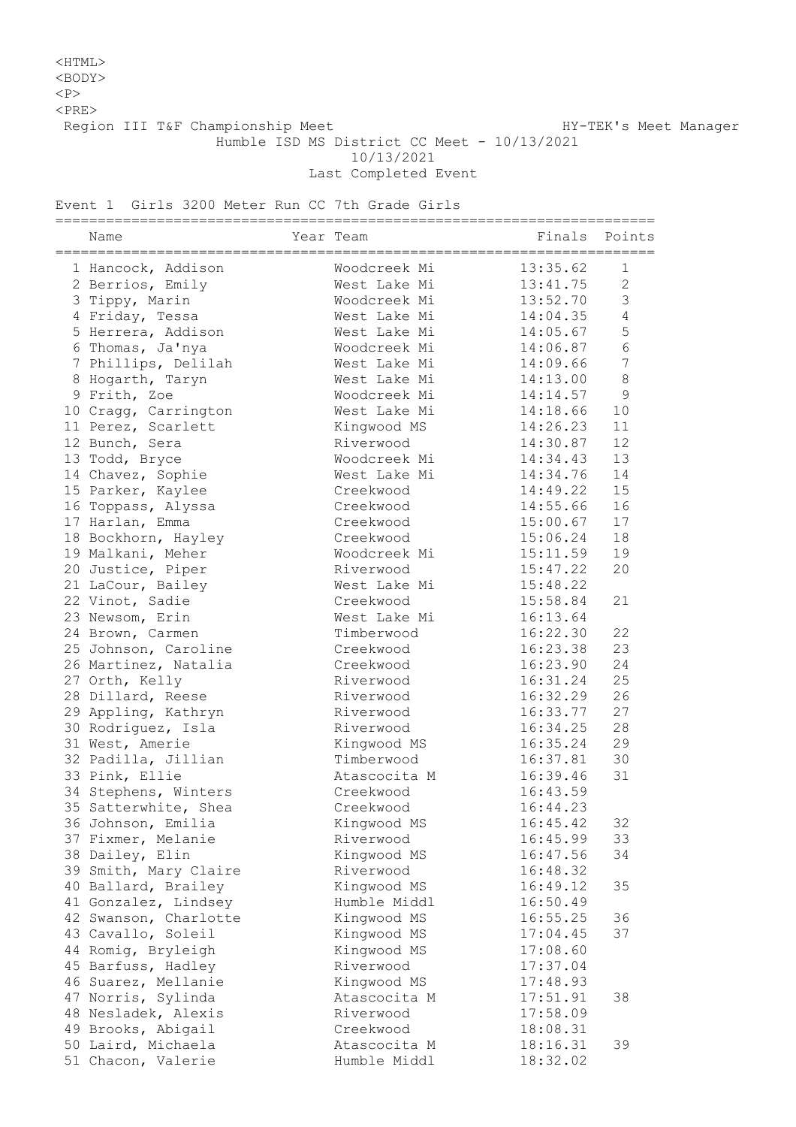## <HTML>

<BODY>

 $<sub>P</sub>$ 

 $<$ PRE $>$ 

Region III T&F Championship Meet Nanager HY-TEK's Meet Manager

Humble ISD MS District CC Meet - 10/13/2021

10/13/2021

Last Completed Event

Event 1 Girls 3200 Meter Run CC 7th Grade Girls

| Name                  | Year Team    | ------------------------- | Finals Points  |
|-----------------------|--------------|---------------------------|----------------|
| 1 Hancock, Addison    | Woodcreek Mi | 13:35.62                  | 1              |
| 2 Berrios, Emily      | West Lake Mi | 13:41.75                  | $\overline{2}$ |
| 3 Tippy, Marin        | Woodcreek Mi | 13:52.70                  | 3              |
| 4 Friday, Tessa       | West Lake Mi | 14:04.35                  | $\overline{4}$ |
| 5 Herrera, Addison    | West Lake Mi | 14:05.67                  | 5              |
| 6 Thomas, Ja'nya      | Woodcreek Mi | 14:06.87                  | 6              |
| 7 Phillips, Delilah   | West Lake Mi | 14:09.66                  | $\overline{7}$ |
| 8 Hogarth, Taryn      | West Lake Mi | 14:13.00                  | $\,8\,$        |
| 9 Frith, Zoe          | Woodcreek Mi | 14:14.57                  | 9              |
| 10 Cragg, Carrington  | West Lake Mi | 14:18.66                  | 10             |
| 11 Perez, Scarlett    | Kingwood MS  | 14:26.23                  | 11             |
| 12 Bunch, Sera        | Riverwood    | 14:30.87                  | 12             |
| 13 Todd, Bryce        | Woodcreek Mi | 14:34.43                  | 13             |
| 14 Chavez, Sophie     | West Lake Mi | 14:34.76                  | 14             |
| 15 Parker, Kaylee     | Creekwood    | 14:49.22                  | 15             |
| 16 Toppass, Alyssa    | Creekwood    | 14:55.66                  | 16             |
| 17 Harlan, Emma       | Creekwood    | 15:00.67                  | 17             |
| 18 Bockhorn, Hayley   | Creekwood    | 15:06.24                  | 18             |
| 19 Malkani, Meher     | Woodcreek Mi | 15:11.59                  | 19             |
| 20 Justice, Piper     | Riverwood    | 15:47.22                  | 20             |
| 21 LaCour, Bailey     | West Lake Mi | 15:48.22                  |                |
| 22 Vinot, Sadie       | Creekwood    | 15:58.84                  | 21             |
| 23 Newsom, Erin       | West Lake Mi | 16:13.64                  |                |
| 24 Brown, Carmen      | Timberwood   | 16:22.30                  | 22             |
| 25 Johnson, Caroline  | Creekwood    | 16:23.38                  | 23             |
| 26 Martinez, Natalia  | Creekwood    | 16:23.90                  | 24             |
| 27 Orth, Kelly        | Riverwood    | 16:31.24                  | 25             |
| 28 Dillard, Reese     | Riverwood    | 16:32.29                  | 26             |
| 29 Appling, Kathryn   | Riverwood    | 16:33.77                  | 27             |
| 30 Rodriguez, Isla    | Riverwood    | 16:34.25                  | 28             |
| 31 West, Amerie       | Kingwood MS  | 16:35.24                  | 29             |
| 32 Padilla, Jillian   | Timberwood   | 16:37.81                  | 30             |
| 33 Pink, Ellie        | Atascocita M | 16:39.46                  | 31             |
| 34 Stephens, Winters  | Creekwood    | 16:43.59                  |                |
| 35 Satterwhite, Shea  | Creekwood    | 16:44.23                  |                |
| 36 Johnson, Emilia    | Kingwood MS  | 16:45.42                  | 32             |
| 37 Fixmer, Melanie    | Riverwood    | 16:45.99                  | 33             |
| 38 Dailey, Elin       | Kingwood MS  | 16:47.56                  | 34             |
| 39 Smith, Mary Claire | Riverwood    | 16:48.32                  |                |
| 40 Ballard, Brailey   | Kingwood MS  | 16:49.12                  | 35             |
| 41 Gonzalez, Lindsey  | Humble Middl | 16:50.49                  |                |
| 42 Swanson, Charlotte | Kingwood MS  | 16:55.25                  | 36             |
| 43 Cavallo, Soleil    | Kingwood MS  | 17:04.45                  | 37             |
| 44 Romig, Bryleigh    | Kingwood MS  | 17:08.60                  |                |
| 45 Barfuss, Hadley    | Riverwood    | 17:37.04                  |                |
| 46 Suarez, Mellanie   | Kingwood MS  | 17:48.93                  |                |
| 47 Norris, Sylinda    | Atascocita M | 17:51.91                  | 38             |
| 48 Nesladek, Alexis   | Riverwood    | 17:58.09                  |                |
| 49 Brooks, Abigail    | Creekwood    | 18:08.31                  |                |
| 50 Laird, Michaela    | Atascocita M | 18:16.31                  | 39             |
| 51 Chacon, Valerie    | Humble Middl | 18:32.02                  |                |